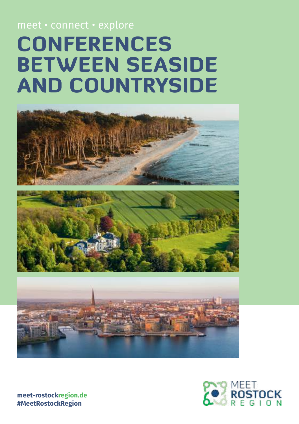## **CONFERENCES** between seaside and Countryside meet • connect • explore



**[meet-rostockregion.de](http://www.meet-rostockregion.de) #MeetRostockRegion**

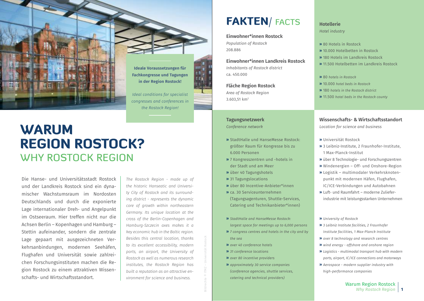

**Ideale Voraussetzungen für Fachkongresse und Tagungen in der Region Rostock!**

*Ideal conditions for specialist congresses and conferences in the Rostock Region!*

#### WARUM REGION ROSTOCK? WHY ROSTOCK REGION

Die Hanse- und Universitätsstadt Rostock und der Landkreis Rostock sind ein dynamischer Wachstumsraum im Nordosten Deutschlands und durch die exponierte Lage internationaler Dreh- und Angelpunkt im Ostseeraum. Hier treffen nicht nur die Achsen Berlin – Kopenhagen und Hamburg – Stettin aufeinander, sondern die zentrale Lage gepaart mit ausgezeichneten Verkehrsanbindungen, modernen Seehäfen, Flughafen und Universität sowie zahlreichen Forschungsinstituten machen die Region Rostock zu einem attraktiven Wissenschafts- und Wirtschaftsstandort.

*The Rostock Region - made up of the historic Hanseatic and University City of Rostock and its surrounding district - represents the dynamic core of growth within northeastern Germany. Its unique location at the cross of the Berlin-Copenhagen and Hamburg-Szczecin axes makes it a key economic hub in the Baltic region. Besides this central location, thanks to its excellent accessibility, modern ports, an airport, the University of Rostock as well as numerous research institutes, the Rostock Region has built a reputation as an attractive environment for science and business.*

#### FAKTEN/ FACTS

**Einwohner\*innen Rostock** *Population of Rostock*

208.886

**Einwohner\*innen Landkreis Rostock** *Inhabitants of Rostock district* ca. 450.000

**Fläche Region Rostock** *Area of Rostock Region* 3.603,51 km2

**Tagungsnetzwerk** *Conference network*

- **»** StadtHalle und HanseMesse Rostock: größter Raum für Kongresse bis zu 6.000 Personen
- **»** 7 Kongresszentren und -hotels in der Stadt und am Meer
- **»** über 40 Tagungshotels
- **»** 31 Tagungslocations
- **»** über 80 Incentive-Anbieter\*innen
- **»** ca. 30 Serviceunternehmen (Tagungsagenturen, Shuttle-Services, Catering und Technikanbieter\*innen)
- **»** *StadtHalle and HanseMesse Rostock: largest space for meetings up to 6,000 persons*
- **»** *7 congress centres and hotels in the city and by the sea*
- **»** *over 40 conference hotels*
- **»** *31 conference locations*
- **»** *over 80 incentive providers*
- **»** *approximately 30 service companies (conference agencies, shuttle services, catering and technical providers)*

#### **Hotellerie**

*Hotel industry*

- **»** 80 Hotels in Rostock
- **»** 10.000 Hotelbetten in Rostock
- **»** 180 Hotels im Landkreis Rostock
- **»** 11.500 Hotelbetten im Landkreis Rostock
- **»** 80 *hotels in Rostock*
- **»** 10.000 *hotel beds in Rostock*
- **»** 180 *hotels in the Rostock district*
- **»** 11.500 *hotel beds in the Rostock county*

#### **Wissenschafts- & Wirtschaftsstandort**

*Location for science and business*

- **»** Universität Rostock
- **»** 3 Leibniz-Institute, 2 Fraunhofer-Institute, 1 Max-Planck-Institut
- **»** über 8 Technologie- und Forschungszentren
- **»** Windenergien Off- und Onshore-Region
- **»** Logistik multimodaler Verkehrsknotenpunkt mit modernen Häfen, Flughafen, IC/ICE-Verbindungen und Autobahnen
- **»** Luft- und Raumfahrt moderne Zulieferindustrie mit leistungsstarken Unternehmen
- **»** *University of Rostock*
- **»** *3 Leibniz Institute facilities, 2 Fraunhofer Institute facilities, 1 Max-Planck Institute*
- **»** *over 8 technology and research centres*
- **»** *wind energy offshore and onshore region*
- **»** *Logistics multimodal transport hub with modern ports, airport, IC/ICE connections and motorways*
- **»** *Aerospace modern supplier industry with high-performance companies*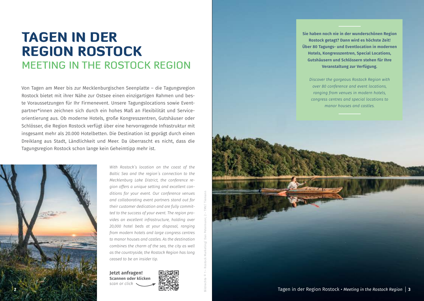#### TAGEN IN D RE GION ROSTOCK MEETING IN THE ROSTOCK REGION

Von Tagen am Meer bis zur Mecklenburgischen Seenplatte – die Tagungsregion Rostock bietet mit ihrer Nähe zur Ostsee einen einzigartigen Rahmen und bes te Voraussetzungen für Ihr Firmenevent. Unsere Tagungslocations sowie Event partner\*innen zeichnen sich durch ein hohes Maß an Flexibilität und Service orientierung aus. Ob moderne Hotels, große Kongresszentren, Gutshäuser oder Schlösser, die Region Rostock verfügt über eine hervorragende Infrastruktur mit insgesamt mehr als 20.000 Hotelbetten. Die Destination ist geprägt durch einen Dreiklang aus Stadt, Ländlichkeit und Meer. Da überrascht es nicht, dass die Tagungsregion Rostock schon lange kein Geheimtipp mehr ist.



*With Rostock´s location on the coast of the Baltic Sea and the region´s connection to the Mecklenburg Lake District, the conference re gion offers a unique setting and excellent con ditions for your event. Our conference venues and collaborating event partners stand out for their customer dedication and are fully commit ted to the success of your event. The region pro vides an excellent infrastructure, holding over 20,000 hotel beds at your disposal, ranging from modern hotels and large congress centres to manor houses and castles. As the destination combines the charm of the sea, the city as well as the countryside, the Rostock Region has long ceased to be an insider tip.*

**Jetzt anfragen! Scannen oder klicken** *scan or click*



Bildrechte © 1 – Rostock Marketing/ Dan Petermann; 2 – TMV/ Tiemann

**Sie haben noch nie in der wunderschönen Region Rostock getagt? Dann wird es höchste Zeit! Über 80 Tagungs- und Eventlocation in modernen Hotels, Kongresszentren, Special Locations, Gutshäusern und Schlössern stehen für Ihre Veranstaltung zur Verfügung.**

*Discover the gorgeous Rostock Region with over 80 conference and event locations, ranging from venues in modern hotels, congress centres and special locations to manor houses and castles.*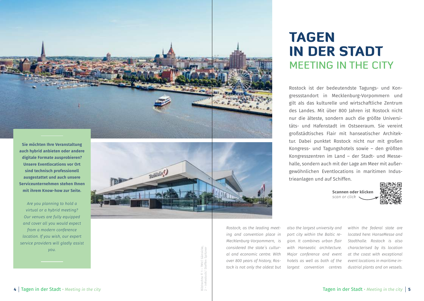

**Sie möchten Ihre Veranstaltung auch hybrid anbieten oder andere digitale Formate ausprobieren? Unsere Eventlocations vor Ort sind technisch professionell ausgestattet und auch unsere Serviceunternehmen stehen Ihnen mit ihrem Know-how zur Seite.**

*Are you planning to hold a virtual or a hybrid meeting? Our venues are fully equipped and cover all you would expect from a modern conference location. If you wish, our expert service providers will gladly assist you.* 



# **TAGE** IN DER STADT MEETING IN THE CITY

Rostock ist der bedeutendste Tagungs- und Kon gressstandort in Mecklenburg-Vorpommern und gilt als das kulturelle und wirtschaftliche Zentrum des Landes. Mit über 800 Jahren ist Rostock nicht nur die älteste, sondern auch die größte Universi täts- und Hafenstadt im Ostseeraum. Sie vereint großstädtisches Flair mit hanseatischer Architek tur. Dabei punktet Rostock nicht nur mit großen Kongress- und Tagungshotels sowie – den größten Kongresszentren im Land – der Stadt- und Messe halle, sondern auch mit der Lage am Meer mit außergewöhnlichen Eventlocations in maritimen Industrieanlagen und auf Schiffen.

> **Scannen oder klicken** *scan or click*



*ing and convention place in Mecklenburg-Vorpommern, is considered the state´s cultur al and economic centre. With over 800 years of history, Ros tock is not only the oldest but* 

*Rostock, as the leading meet -*

*also the largest university and port city within the Baltic re gion. It combines urban flair with Hanseatic architecture. Major conference and event hotels as well as both of the largest convention centres* 

*within the federal state are located here: HanseMesse and Stadthalle. Rostock is also characterised by its location at the coast with exceptional event locations in maritime in dustrial plants and on vessels.*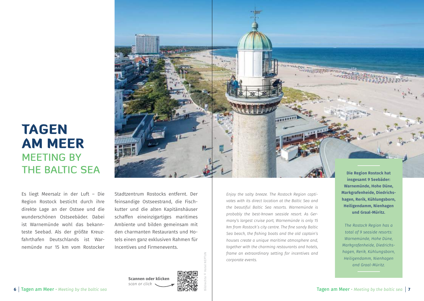#### TAGEN AM MEER MEETING BY THE BALTIC SEA

Es liegt Meersalz in der Luft – Die Region Rostock besticht durch ihre direkte Lage an der Ostsee und die wunderschönen Ostseebäder. Dabei ist Warnemünde wohl das bekannteste Seebad. Als der größte Kreuzfahrthafen Deutschlands ist Warnemünde nur 15 km vom Rostocker

Stadtzentrum Rostocks entfernt. Der feinsandige Ostseestrand, die Fischkutter und die alten Kapitänshäuser schaffen eineinzigartiges maritimes Ambiente und bilden gemeinsam mit den charmanten Restaurants und Hotels einen ganz exklusiven Rahmen für Incentives und Firmenevents.

*scan or click*

*Enjoy the salty breeze. The Rostock Region captivates with its direct location at the Baltic Sea and the beautiful Baltic Sea resorts. Warnemünde is probably the best-known seaside resort. As Germany's largest cruise port, Warnemünde is only 15 km from Rostock´s city centre. The fine sandy Baltic Sea beach, the fishing boats and the old captain's houses create a unique maritime atmosphere and, together with the charming restaurants and hotels, frame an extraordinary setting for incentives and corporate events.*

**Die Region Rostock hat insgesamt 9 Seebäder: Warnemünde, Hohe Düne, Markgrafenheide, Diedrichshagen, Rerik, Kühlungsborn, Heiligendamm, Nienhagen und Graal-Müritz.**

*The Rostock Region has a total of 9 seaside resorts: Warnemünde, Hohe Düne, Markgrafenheide, Diedrichshagen, Rerik, Kühlungsborn, Heiligendamm, Nienhagen and Graal-Müritz.*



Bildrechte © Hotel NEPTUN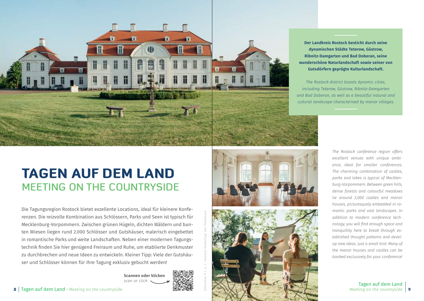

**Scannen oder klicken** *scan or click*

**Der Landkreis Rostock besticht durch seine dynamischen Städte Teterow, Güstrow, Ribnitz-Damgarten und Bad Doberan, seine wunderschöne Naturlandschaft sowie seiner von Gutsdörfern geprägte Kulturlandschaft.** 

*The Rostock district boasts dynamic cities, including Teterow, Güstrow, Ribnitz-Damgarten and Bad Doberan, as well as a beautiful natural and cultural landscape characterised by manor villages.* 

# TAGEN auf dem Land MEETING ON THE COUNTRYSIDE

Die Tagungsregion Rostock bietet exzellente Locations, ideal für kleinere Konferenzen. Die reizvolle Kombination aus Schlössern, Parks und Seen ist typisch für Mecklenburg-Vorpommern. Zwischen grünen Hügeln, dichten Wäldern und bunten Wiesen liegen rund 2.000 Schlösser und Gutshäuser, malerisch eingebettet in romantische Parks und weite Landschaften. Neben einer modernen Tagungstechnik finden Sie hier genügend Freiraum und Ruhe, um etablierte Denkmuster zu durchbrechen und neue Ideen zu entwickeln. Kleiner Tipp: Viele der Gutshäuser und Schlösser können für Ihre Tagung exklusiv gebucht werden!

Bildrechte © 1, 2, 3 – Rostock Marketing/ Dan Petermann

*The Rostock conference region offers excellent venues with unique ambience, ideal for smaller conferences. The charming combination of castles, parks and lakes is typical of Mecklenburg-Vorpommern. Between green hills, dense forests and colourful meadows lie around 2,000 castles and manor houses, picturesquely embedded in romantic parks and vast landscapes. In addition to modern conference technology, you will find enough space and tranquillity here to break through established thought patterns and develop new ideas. Just a small hint: Many of the manor houses and castles can be booked exclusively for your conference!*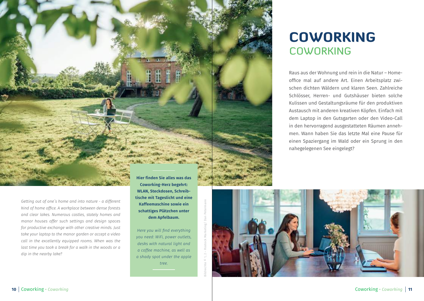

*Getting out of one´s home and into nature - a different kind of home office. A workplace between dense forests and clear lakes. Numerous castles, stately homes and manor houses offer such settings and design spaces for productive exchange with other creative minds. Just take your laptop to the manor garden or accept a video call in the excellently equipped rooms. When was the last time you took a break for a walk in the woods or a dip in the nearby lake?*

**Coworking-Herz begehrt: WLAN, Steckdosen, Schreibtische mit Tageslicht und eine Kaffeemaschine sowie ein schattiges Plätzchen unter dem Apfelbaum.**

*Here you will find everything you need: WiFi, power outlets, desks with natural light and a coffee machine, as well as a shady spot under the apple tree.*

### **COWORKING COWORKING**

Raus aus der Wohnung und rein in die Natur – Homeoffice mal auf andere Art. Einen Arbeitsplatz zwischen dichten Wäldern und klaren Seen. Zahlreiche Schlösser, Herren- und Gutshäuser bieten solche Kulissen und Gestaltungsräume für den produktiven Austausch mit anderen kreativen Köpfen. Einfach mit dem Laptop in den Gutsgarten oder den Video-Call in den hervorragend ausgestatteten Räumen annehmen. Wann haben Sie das letzte Mal eine Pause für einen Spaziergang im Wald oder ein Sprung in den nahegelegenen See eingelegt?

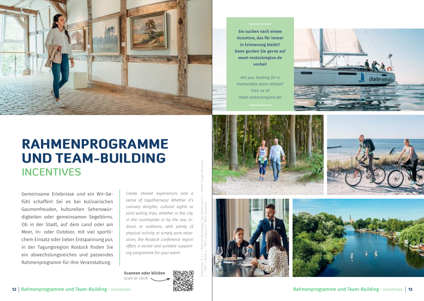

**Sie suchen nach einem Incentive, das für immer in Erinnerung bleibt? Dann gucken Sie gerne auf [meet-rostockregion.de](http://www.meet-rostockregion.de)  vorbei!**

*Are you looking for a memorable team retreat? Visit us at [meet-rostockregion.de](http://www.meet-rostockregion.de)!*



## RAHMENPROGRAMME und TEAM-BUILDING INCENTIVES

Gemeinsame Erlebnisse und ein Wir-Gefühl schaffen! Sei es bei kulinarischen Gaumenfreuden, kulturellen Sehenswürdigkeiten oder gemeinsamen Segeltörns. Ob in der Stadt, auf dem Land oder am Meer, In- oder Outdoor, mit viel sportlichem Einsatz oder lieber Entspannung pur, in der Tagungsregion Rostock finden Sie ein abwechslungsreiches und passendes Rahmenprogramm für Ihre Veranstaltung.

*Create shared experiences and a sense of togetherness! Whether it's culinary delights, cultural sights or joint sailing trips, whether in the city, in the countryside or by the sea, indoors or outdoors, with plenty of physical activity or simply pure relaxation, the Rostock conference region offers a varied and suitable supporting programme for your event.*

Bildrechte © 1, 2 – Rostock Marketing/ Dan Petermann; 3 – TZRW/ Holger Martens;

4 – TMV/ T. Roth; 5 – TMV/ Krauss; 6 – TMV/ Gänsicke

**Scannen oder klicken** *scan or click*







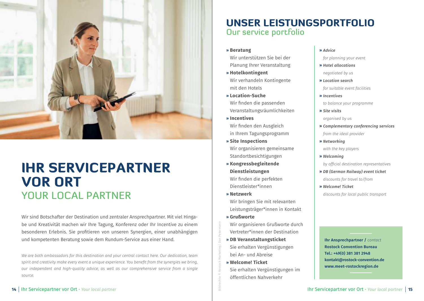

# IHR SERVICEPARTNER VOR ORT YOUR LOCAL PARTNER

Wir sind Botschafter der Destination und zentraler Ansprechpartner. Mit viel Hingabe und Kreativität machen wir Ihre Tagung, Konferenz oder Ihr Incentive zu einem besonderen Erlebnis. Sie profitieren von unseren Synergien, einer unabhängigen und kompetenten Beratung sowie dem Rundum-Service aus einer Hand.

*We are both ambassadors for this destination and your central contact here. Our dedication, team spirit and creativity make every event a unique experience. You benefit from the synergies we bring, our independent and high-quality advice, as well as our comprehensive service from a single source.*

#### Unser Leistungsportfolio Our service portfolio

**» Beratung**

Wir unterstützen Sie bei der Planung Ihrer Veranstaltung

- **» Hotelkontingent** Wir verhandeln Kontingente mit den Hotels
- **» Location-Suche** Wir finden die passenden Veranstaltungsräumlichkeiten
- **» Incentives** Wir finden den Ausgleich in Ihrem Tagungsprogramm
- **» Site Inspections** Wir organisieren gemeinsame Standortbesichtigungen
- **» Kongressbegleitende Dienstleistungen** Wir finden die perfekten Dienstleister\*innen
- **» Netzwerk** Wir bringen Sie mit relevanten Leistungsträger\*innen in Kontakt
- **» Grußworte**

Bildrechte © Rostock Marketing/ Dan Petermann

- Wir organisieren Grußworte durch Vertreter\*innen der Destination
- **» DB Veranstaltungsticket** Sie erhalten Vergünstigungen bei An- und Abreise
- **» Welcome! Ticket** Sie erhalten Vergünstigungen im öffentlichen Nahverkehr

**»** *Advice*

*for planning your event*

- **»** *Hotel allocations*
- *negotiated by us*
- **»** *Location search*

*for suitable event facilities*

- **»** *Incentives to balance your programme*
- **»** *Site visits*
- *organised by us*
- **»** *Complementary conferencing services from the ideal provider*
- **»** *Networking with the key players*
- **»** *Welcoming*

*by official destination representatives*

- **»** *DB (German Railway) event ticket discounts for travel to/from*
- **»** *Welcome! Ticket discounts for local public transport*

**Ihr Ansprechpartner /** *contact* **Rostock Convention Bureau Tel.: +49(0) 381 381 2948 kontakt@rostock-convention.de [www.meet-rostockregion.de](http://www.meet-rostockregion.de)**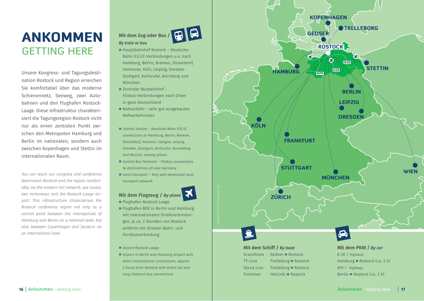## Ankommen Getting here

Unsere Kongress- und Tagungsdestination Rostock und Region erreichen Sie komfortabel über das moderne Schienennetz, Seeweg, zwei Autobahnen und den Flughafen Rostock-Laage. Diese Infrastruktur charakterisiert die Tagungsregion Rostock nicht nur als einen zentralen Punkt zwischen den Metropolen Hamburg und Berlin im nationalen, sondern auch zwischen Kopenhagen und Stettin im internationalen Raum.

*You can reach our congress and conference destination Rostock and the region comfortably via the modern rail network, sea routes, two motorways and the Rostock-Laage airport. This infrastructure characterises the Rostock conference region not only as a central point between the metropolises of Hamburg and Berlin on a national level, but also between Copenhagen and Szczecin on an international level.*



- **»** Hauptbahnhof Rostock Deutsche Bahn ICE/IC-Verbindungen u.a. nach Hamburg, Berlin, Bremen, Düsseldorf, Hannover, Köln, Leipzig, Dresden Stuttgart, Karlsruhe, Nürnberg und München
- **»** Zentraler Busbahnhof Flixbus-Verbindungen nach Orten in ganz Deutschland
- **»** Nahverkehr sehr gut ausgebautes Nahverkehrsnetz
- **»** *Central Station Deutsche Bahn ICE/IC connections to Hamburg, Berlin, Bremen, Düsseldorf, Hanover, Cologne, Leipzig, Dresden, Stuttgart, Karlsruhe, Nuremberg and Munich, among others.*
- **»** *Central Bus Terminal Flixbus connections to destinations all over Germany*
- **»** *Local transport Very well-developed local transport network*



- **»** Flughafen Rostock Laage
- **»** Flughafen BER in Berlin und Hamburg mit internationalen Direktverbindungen, je ca. 2 Stunden von Rostock entfernt mit direkter Bahn- und Fernbusverbindung
- **»** *Airport Rostock Laage*
- **»** *Airport in Berlin and Hamburg Airport with direct international connections. approx. 2 hours from Rostock with direct rail and long-distance bus connections*



Scandlines Gedser **»** Rostock TT-Line Trelleborg **»** Rostock Stena Line Trelleborg **»** Rostock Finnlines Helsinki **»** Rostock

#### A 20 / *Highway* Hamburg **»** Rostock (ca. 2 h) A19 / *Highway* Berlin **»** Rostock (ca. 2 h)